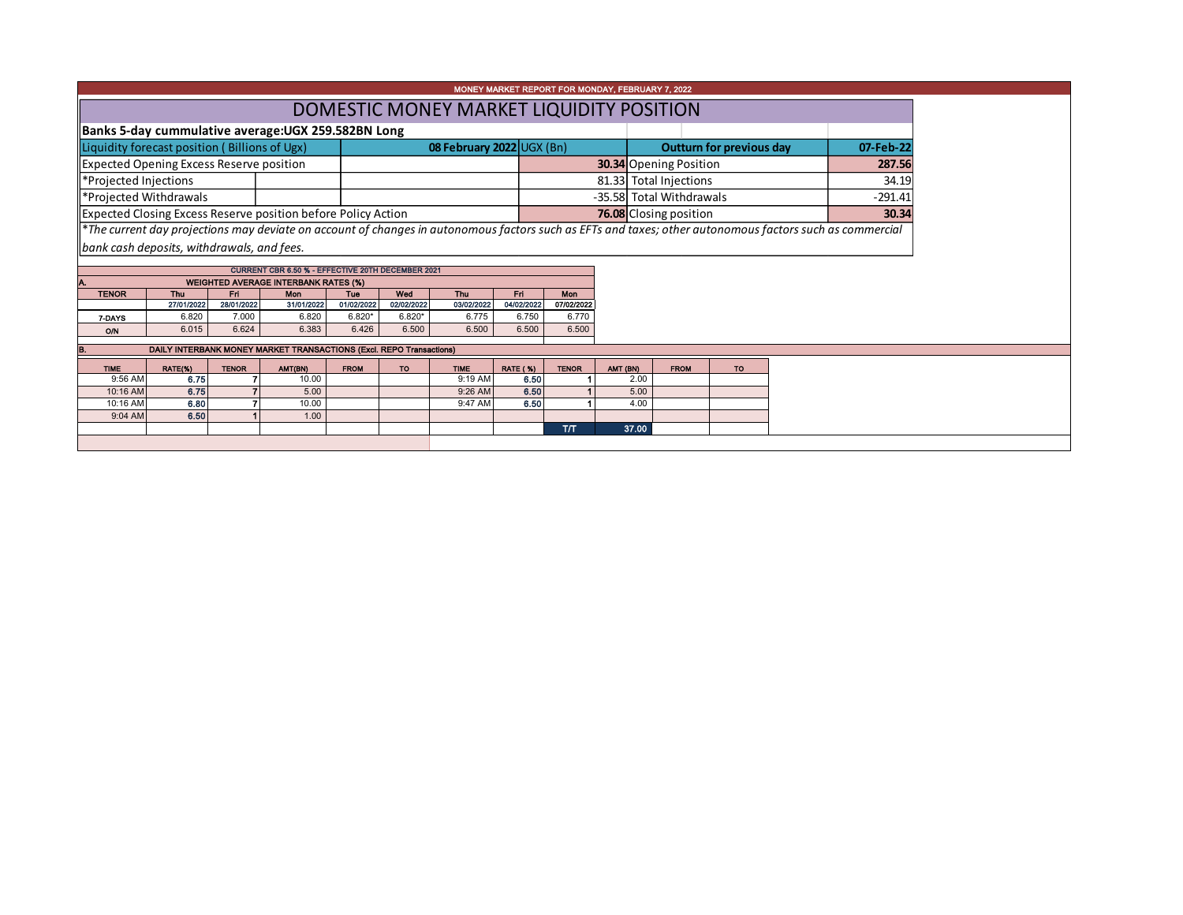| MONEY MARKET REPORT FOR MONDAY, FEBRUARY 7, 2022              |                                                    |                     |                                                                     |                        |                        |                                  |                         |                        |                          |       |                                 |           |       |                                                                                                                                                          |       |
|---------------------------------------------------------------|----------------------------------------------------|---------------------|---------------------------------------------------------------------|------------------------|------------------------|----------------------------------|-------------------------|------------------------|--------------------------|-------|---------------------------------|-----------|-------|----------------------------------------------------------------------------------------------------------------------------------------------------------|-------|
|                                                               | DOMESTIC MONEY MARKET LIQUIDITY POSITION           |                     |                                                                     |                        |                        |                                  |                         |                        |                          |       |                                 |           |       |                                                                                                                                                          |       |
|                                                               | Banks 5-day cummulative average:UGX 259.582BN Long |                     |                                                                     |                        |                        |                                  |                         |                        |                          |       |                                 |           |       |                                                                                                                                                          |       |
| Liquidity forecast position (Billions of Ugx)                 |                                                    |                     |                                                                     |                        |                        | <b>08 February 2022 UGX (Bn)</b> |                         |                        |                          |       | <b>Outturn for previous day</b> | 07-Feb-22 |       |                                                                                                                                                          |       |
| <b>Expected Opening Excess Reserve position</b>               |                                                    |                     |                                                                     |                        |                        |                                  |                         | 30.34 Opening Position |                          |       | 287.56                          |           |       |                                                                                                                                                          |       |
| *Projected Injections                                         |                                                    |                     |                                                                     |                        |                        |                                  |                         |                        |                          |       | 81.33 Total Injections          |           |       |                                                                                                                                                          | 34.19 |
| *Projected Withdrawals                                        |                                                    |                     |                                                                     |                        |                        |                                  |                         |                        | -35.58 Total Withdrawals |       |                                 | $-291.41$ |       |                                                                                                                                                          |       |
| Expected Closing Excess Reserve position before Policy Action |                                                    |                     |                                                                     |                        |                        |                                  |                         |                        | 76.08 Closing position   |       |                                 |           | 30.34 |                                                                                                                                                          |       |
|                                                               |                                                    |                     |                                                                     |                        |                        |                                  |                         |                        |                          |       |                                 |           |       | *The current day projections may deviate on account of changes in autonomous factors such as EFTs and taxes; other autonomous factors such as commercial |       |
| bank cash deposits, withdrawals, and fees.                    |                                                    |                     |                                                                     |                        |                        |                                  |                         |                        |                          |       |                                 |           |       |                                                                                                                                                          |       |
|                                                               |                                                    |                     | <b>CURRENT CBR 6.50 % - EFFECTIVE 20TH DECEMBER 2021</b>            |                        |                        |                                  |                         |                        |                          |       |                                 |           |       |                                                                                                                                                          |       |
|                                                               |                                                    |                     | <b>WEIGHTED AVERAGE INTERBANK RATES (%)</b>                         |                        |                        |                                  |                         |                        |                          |       |                                 |           |       |                                                                                                                                                          |       |
| <b>TENOR</b>                                                  | Thu                                                | Fri                 | Mon                                                                 | <b>Tue</b>             | Wed                    | <b>Thu</b>                       | Fri                     | <b>Mon</b>             |                          |       |                                 |           |       |                                                                                                                                                          |       |
| 7-DAYS                                                        | 27/01/2022<br>6.820                                | 28/01/2022<br>7.000 | 31/01/2022<br>6.820                                                 | 01/02/2022<br>$6.820*$ | 02/02/2022<br>$6.820*$ | 03/02/2022<br>6.775              | 04/02/2022<br>6.750     | 07/02/2022<br>6.770    |                          |       |                                 |           |       |                                                                                                                                                          |       |
| O/N                                                           | 6.015                                              | 6.624               | 6.383                                                               | 6.426                  | 6.500                  | 6.500                            | 6.500                   | 6.500                  |                          |       |                                 |           |       |                                                                                                                                                          |       |
| B                                                             |                                                    |                     | DAILY INTERBANK MONEY MARKET TRANSACTIONS (Excl. REPO Transactions) |                        |                        |                                  |                         |                        |                          |       |                                 |           |       |                                                                                                                                                          |       |
|                                                               |                                                    |                     |                                                                     |                        |                        |                                  |                         |                        |                          |       |                                 |           |       |                                                                                                                                                          |       |
| <b>TIME</b><br>9:56 AM                                        | RATE(%)<br>6.75                                    | <b>TENOR</b>        | AMT(BN)<br>10.00                                                    | <b>FROM</b>            | TO:                    | <b>TIME</b><br>9:19 AM           | <b>RATE (%)</b><br>6.50 | <b>TENOR</b>           | AMT (BN)                 | 2.00  | <b>FROM</b>                     | <b>TO</b> |       |                                                                                                                                                          |       |
| 10:16 AM                                                      | 6.75                                               |                     | 5.00                                                                |                        |                        | 9:26 AM                          | 6.50                    |                        |                          | 5.00  |                                 |           |       |                                                                                                                                                          |       |
| 10:16 AM                                                      | 6.80                                               |                     | 10.00                                                               |                        |                        | 9:47 AM                          | 6.50                    |                        |                          | 4.00  |                                 |           |       |                                                                                                                                                          |       |
| 9:04 AM                                                       | 6.50                                               |                     | 1.00                                                                |                        |                        |                                  |                         |                        |                          |       |                                 |           |       |                                                                                                                                                          |       |
|                                                               |                                                    |                     |                                                                     |                        |                        |                                  |                         | <b>ТЛТ</b>             |                          | 37.00 |                                 |           |       |                                                                                                                                                          |       |
|                                                               |                                                    |                     |                                                                     |                        |                        |                                  |                         |                        |                          |       |                                 |           |       |                                                                                                                                                          |       |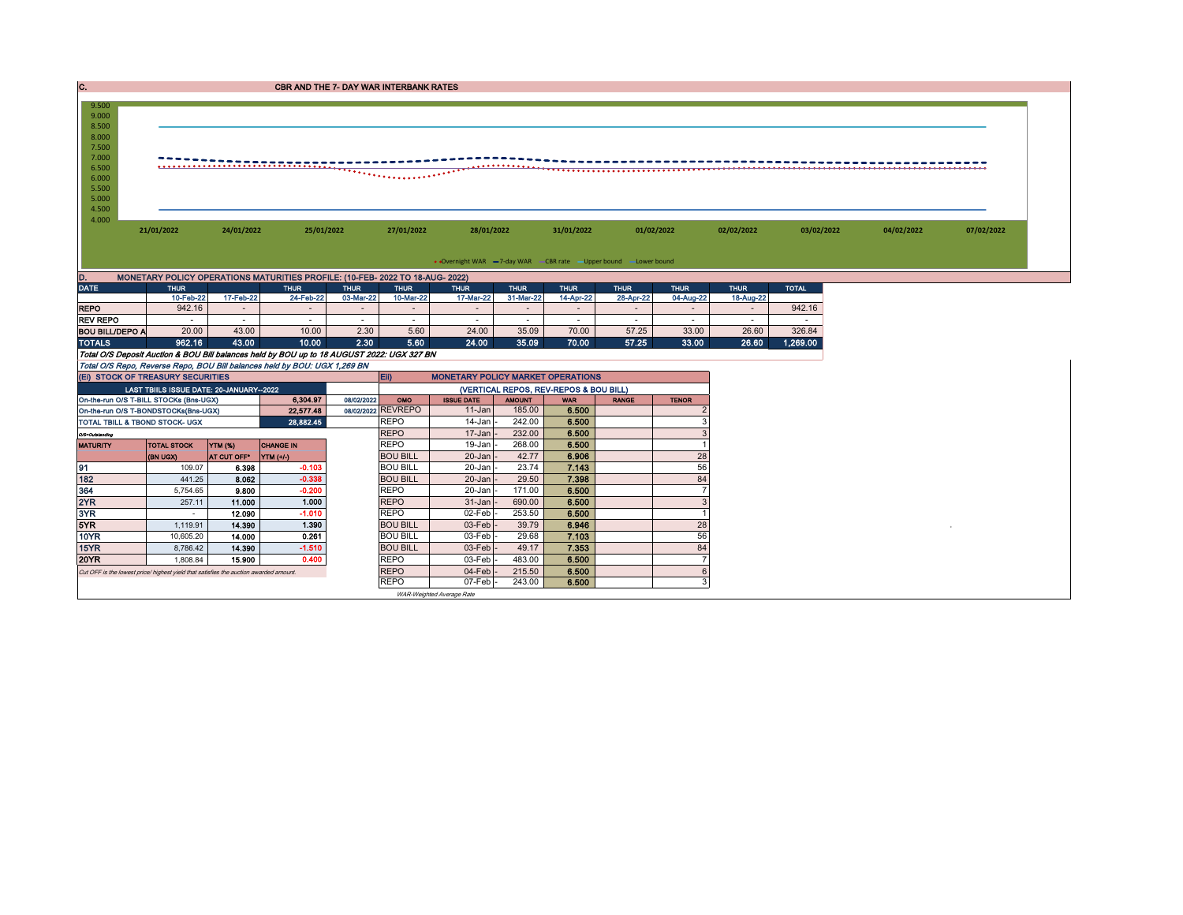| IC. | <b>CBR AND THE 7- DAY WAR INTERBANK RATES</b> |
|-----|-----------------------------------------------|

| 9.500                  |                                                                                       |                  |                                                                                            |             |                                        |                                                                   |                  |                |                          |                          |             |              |            |            |
|------------------------|---------------------------------------------------------------------------------------|------------------|--------------------------------------------------------------------------------------------|-------------|----------------------------------------|-------------------------------------------------------------------|------------------|----------------|--------------------------|--------------------------|-------------|--------------|------------|------------|
| 9.000                  |                                                                                       |                  |                                                                                            |             |                                        |                                                                   |                  |                |                          |                          |             |              |            |            |
| 8.500                  |                                                                                       |                  |                                                                                            |             |                                        |                                                                   |                  |                |                          |                          |             |              |            |            |
| 8.000                  |                                                                                       |                  |                                                                                            |             |                                        |                                                                   |                  |                |                          |                          |             |              |            |            |
| 7.500                  |                                                                                       |                  |                                                                                            |             |                                        |                                                                   |                  |                |                          |                          |             |              |            |            |
| 7.000                  |                                                                                       |                  |                                                                                            |             |                                        |                                                                   |                  |                |                          |                          |             |              |            |            |
| 6.500                  |                                                                                       |                  |                                                                                            |             |                                        |                                                                   |                  |                |                          |                          |             |              |            |            |
| 6.000<br>5.500         |                                                                                       |                  |                                                                                            |             |                                        |                                                                   |                  |                |                          |                          |             |              |            |            |
| 5.000                  |                                                                                       |                  |                                                                                            |             |                                        |                                                                   |                  |                |                          |                          |             |              |            |            |
| 4.500                  |                                                                                       |                  |                                                                                            |             |                                        |                                                                   |                  |                |                          |                          |             |              |            |            |
| 4.000                  |                                                                                       |                  |                                                                                            |             |                                        |                                                                   |                  |                |                          |                          |             |              |            |            |
|                        | 21/01/2022                                                                            | 24/01/2022       | 25/01/2022                                                                                 |             | 27/01/2022                             | 28/01/2022                                                        |                  | 31/01/2022     | 01/02/2022               |                          | 02/02/2022  | 03/02/2022   | 04/02/2022 | 07/02/2022 |
|                        |                                                                                       |                  |                                                                                            |             |                                        |                                                                   |                  |                |                          |                          |             |              |            |            |
|                        |                                                                                       |                  |                                                                                            |             |                                        |                                                                   |                  |                |                          |                          |             |              |            |            |
|                        |                                                                                       |                  |                                                                                            |             |                                        | • Overnight WAR -7-day WAR - CBR rate - Upper bound - Lower bound |                  |                |                          |                          |             |              |            |            |
| D.                     |                                                                                       |                  | MONETARY POLICY OPERATIONS MATURITIES PROFILE: (10-FEB- 2022 TO 18-AUG- 2022)              |             |                                        |                                                                   |                  |                |                          |                          |             |              |            |            |
| <b>DATE</b>            | <b>THUR</b>                                                                           |                  | <b>THUR</b>                                                                                | <b>THUR</b> | <b>THUR</b>                            | <b>THUR</b>                                                       | <b>THUR</b>      | <b>THUR</b>    | <b>THUR</b>              | <b>THUR</b>              | <b>THUR</b> | <b>TOTAL</b> |            |            |
|                        | 10-Feb-22                                                                             | 17-Feb-22        | 24-Feb-22                                                                                  | 03-Mar-22   | 10-Mar-22                              | 17-Mar-22                                                         | 31-Mar-22        | 14-Apr-22      | 28-Apr-22                | 04-Aug-22                | 18-Aug-22   |              |            |            |
| <b>REPO</b>            | 942.16                                                                                | $\sim$           | $\sim$                                                                                     | $\sim$      | $\sim$                                 |                                                                   |                  | $\sim$         | $\overline{\phantom{a}}$ | $\overline{\phantom{a}}$ | $\sim$      | 942.16       |            |            |
| <b>REV REPO</b>        |                                                                                       | $\sim$           | $\sim$                                                                                     | $\sim$      | $\sim$                                 | $\sim$                                                            |                  | $\sim$         | $\overline{\phantom{a}}$ | $\sim$                   | $\sim$      | $\sim$       |            |            |
| <b>BOU BILL/DEPO A</b> | 20.00                                                                                 | 43.00            | 10.00                                                                                      | 2.30        | 5.60                                   | 24.00                                                             | 35.09            | 70.00          | 57.25                    | 33.00                    | 26.60       | 326.84       |            |            |
| <b>TOTALS</b>          | 962.16                                                                                | 43.00            | 10.00                                                                                      | 2.30        | 5.60                                   | 24.00                                                             | 35.09            | 70.00          | 57.25                    | 33.00                    | 26.60       | 1,269.00     |            |            |
|                        |                                                                                       |                  | Total O/S Deposit Auction & BOU Bill balances held by BOU up to 18 AUGUST 2022: UGX 327 BN |             |                                        |                                                                   |                  |                |                          |                          |             |              |            |            |
|                        |                                                                                       |                  | Total O/S Repo, Reverse Repo, BOU Bill balances held by BOU: UGX 1,269 BN                  |             |                                        |                                                                   |                  |                |                          |                          |             |              |            |            |
|                        | (EI) STOCK OF TREASURY SECURITIES                                                     |                  |                                                                                            |             | Eii)                                   | <b>MONETARY POLICY MARKET OPERATIONS</b>                          |                  |                |                          |                          |             |              |            |            |
|                        | LAST TBIILS ISSUE DATE: 20-JANUARY-2022                                               |                  |                                                                                            |             | (VERTICAL REPOS, REV-REPOS & BOU BILL) |                                                                   |                  |                |                          |                          |             |              |            |            |
|                        | On-the-run O/S T-BILL STOCKs (Bns-UGX)                                                |                  | 6.304.97                                                                                   | 08/02/2022  | OMO                                    | <b>ISSUE DATE</b>                                                 | <b>AMOUNT</b>    | <b>WAR</b>     | <b>RANGE</b>             | <b>TENOR</b>             |             |              |            |            |
|                        | On-the-run O/S T-BONDSTOCKs(Bns-UGX)                                                  |                  | 22,577.48                                                                                  |             | 08/02/2022 REVREPO                     | 11-Jan                                                            | 185.00           | 6.500          |                          | $\overline{\phantom{a}}$ |             |              |            |            |
|                        | TOTAL TBILL & TBOND STOCK- UGX                                                        |                  | 28,882.45                                                                                  |             | <b>REPO</b>                            | 14-Jan                                                            | 242.00           | 6.500          |                          | 3                        |             |              |            |            |
| O/S=Outstanding        |                                                                                       |                  |                                                                                            |             | <b>REPO</b>                            | 17-Jan                                                            | 232.00           | 6.500          |                          | 3                        |             |              |            |            |
| <b>MATURITY</b>        | <b>TOTAL STOCK</b>                                                                    | YTM (%)          | <b>CHANGE IN</b>                                                                           |             | <b>REPO</b>                            | 19-Jan                                                            | 268.00           | 6.500          |                          | $\overline{1}$           |             |              |            |            |
|                        | (BN UGX)                                                                              | AT CUT OFF®      | YTM (+/-)                                                                                  |             | <b>BOU BILL</b><br><b>BOU BILL</b>     | 20-Jan<br>20-Jan                                                  | 42.77            | 6.906          |                          | 28<br>56                 |             |              |            |            |
| 91                     | 109.07                                                                                | 6.398            | $-0.103$<br>$-0.338$                                                                       |             |                                        |                                                                   | 23.74            | 7.143          |                          |                          |             |              |            |            |
| 182<br>364             | 441.25                                                                                | 8.062            | $-0.200$                                                                                   |             | <b>BOU BILL</b><br><b>REPO</b>         | 20-Jan<br>20-Jan                                                  | 29.50<br>171.00  | 7.398<br>6.500 |                          | 84<br>$\overline{7}$     |             |              |            |            |
| 2YR                    | 5,754.65                                                                              | 9,800            | 1.000                                                                                      |             | <b>REPO</b>                            |                                                                   | 690.00           | 6.500          |                          | 3                        |             |              |            |            |
|                        | 257.11                                                                                | 11.000           | $-1.010$                                                                                   |             | <b>REPO</b>                            | 31-Jan                                                            | 253.50           |                |                          | $\overline{1}$           |             |              |            |            |
| 3YR<br>5YR             | $\sim$                                                                                | 12.090           | 1.390                                                                                      |             |                                        | 02-Feb                                                            | 39.79            | 6.500<br>6.946 |                          |                          |             |              |            |            |
| <b>10YR</b>            | 1,119.91<br>10.605.20                                                                 | 14.390<br>14.000 | 0.261                                                                                      |             | <b>BOU BILL</b><br><b>BOU BILL</b>     | 03-Feb<br>03-Feb                                                  | 29.68            | 7.103          |                          | 28<br>56                 |             |              |            |            |
| 15YR                   |                                                                                       |                  | $-1.510$                                                                                   |             |                                        |                                                                   |                  | 7.353          |                          | 84                       |             |              |            |            |
| 20YR                   | 8.786.42                                                                              | 14.390           | 0.400                                                                                      |             | <b>BOU BILL</b><br><b>REPO</b>         | 03-Feb<br>03-Feb                                                  | 49.17            | 6.500          |                          | $\overline{7}$           |             |              |            |            |
|                        | 1,808.84                                                                              | 15,900           |                                                                                            |             | <b>REPO</b>                            | 04-Feb                                                            | 483.00<br>215.50 |                |                          | 6                        |             |              |            |            |
|                        | Cut OFF is the lowest price/ highest yield that satisfies the auction awarded amount. |                  |                                                                                            |             | <b>REPO</b>                            | 07-Feb                                                            | 243.00           | 6.500<br>6.500 |                          | 3                        |             |              |            |            |
|                        |                                                                                       |                  |                                                                                            |             |                                        |                                                                   |                  |                |                          |                          |             |              |            |            |